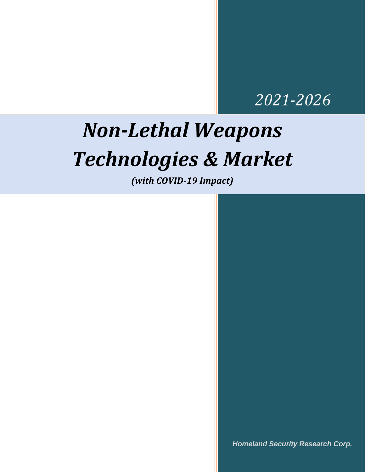### *2021-2026*

## *Non-Lethal Weapons Technologies & Market*

*(with COVID-19 Impact)*

*Homeland Security Research Corp.*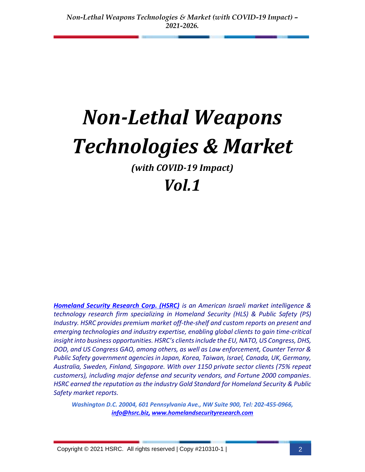# *Non-Lethal Weapons Technologies & Market*

*(with COVID-19 Impact)*

### *Vol.1*

*[Homeland Security Research Corp. \(HSRC\)](http://www.homelandsecurityresearch.com/) is an American Israeli market intelligence & technology research firm specializing in Homeland Security (HLS) & Public Safety (PS) Industry. HSRC provides premium market off-the-shelf and custom reports on present and emerging technologies and industry expertise, enabling global clients to gain time-critical insight into business opportunities. HSRC's clients include the EU, NATO, US Congress, DHS, DOD, and US Congress GAO, among others, as well as Law enforcement, Counter Terror & Public Safety government agencies in Japan, Korea, Taiwan, Israel, Canada, UK, Germany, Australia, Sweden, Finland, Singapore. With over 1150 private sector clients (75% repeat customers), including major defense and security vendors, and Fortune 2000 companies. HSRC earned the reputation as the industry Gold Standard for Homeland Security & Public Safety market reports.* 

*Washington D.C. 20004, 601 Pennsylvania Ave., NW Suite 900, Tel: 202-455-0966, [info@hsrc.biz,](mailto:info@hsrc.biz) [www.homelandsecurityresearch.com](http://www.homelandsecurityresearch.com/)*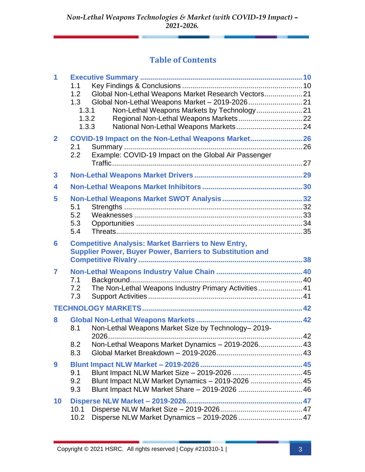### **Table of Contents**

| 1              | 1.1<br>1.2<br>1.3<br>1.3.1<br>1.3.2<br>1.3.3 | Global Non-Lethal Weapons Market Research Vectors 21                                                                           |  |
|----------------|----------------------------------------------|--------------------------------------------------------------------------------------------------------------------------------|--|
| $\overline{2}$ | 2.1<br>$2.2\phantom{0}$                      | COVID-19 Impact on the Non-Lethal Weapons Market 26<br>Example: COVID-19 Impact on the Global Air Passenger                    |  |
| 3              |                                              |                                                                                                                                |  |
| 4              |                                              |                                                                                                                                |  |
| 5              | 5.1<br>5.2<br>5.3<br>5.4                     |                                                                                                                                |  |
| 6              |                                              | <b>Competitive Analysis: Market Barriers to New Entry,</b><br><b>Supplier Power, Buyer Power, Barriers to Substitution and</b> |  |
| 7              | 7.1<br>7.2<br>7.3                            | The Non-Lethal Weapons Industry Primary Activities 41                                                                          |  |
|                |                                              |                                                                                                                                |  |
| 8              | 8.1                                          | Non-Lethal Weapons Market Size by Technology-2019-                                                                             |  |
|                | 8.2<br>8.3                                   | Non-Lethal Weapons Market Dynamics - 2019-2026 43                                                                              |  |
| 9              | 9.1<br>9.2<br>9.3                            | Blunt Impact NLW Market Dynamics - 2019-2026  45                                                                               |  |
| 10             | 10.1<br>10.2                                 | Disperse NLW Market Dynamics - 2019-2026  47                                                                                   |  |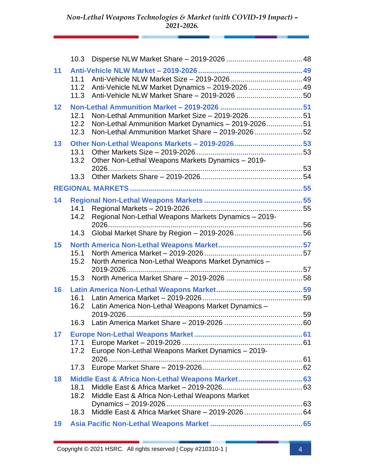|    | 10.3                 |                                                                                                                                                             |  |
|----|----------------------|-------------------------------------------------------------------------------------------------------------------------------------------------------------|--|
| 11 | 11.1<br>11.2<br>11.3 | Anti-Vehicle NLW Market Dynamics - 2019-2026  49                                                                                                            |  |
| 12 | 12.1<br>12.2<br>12.3 | Non-Lethal Ammunition Market Size - 2019-202651<br>Non-Lethal Ammunition Market Dynamics - 2019-2026 51<br>Non-Lethal Ammunition Market Share - 2019-202652 |  |
| 13 | 13.1<br>13.2<br>13.3 | Other Non-Lethal Weapons Markets - 2019-202653<br>Other Non-Lethal Weapons Markets Dynamics - 2019-                                                         |  |
|    |                      |                                                                                                                                                             |  |
| 14 | 14.1<br>14.2         | Regional Non-Lethal Weapons Markets Dynamics - 2019-                                                                                                        |  |
|    | 14.3                 |                                                                                                                                                             |  |
| 15 | 15.1<br>15.2         | North America Non-Lethal Weapons Market Dynamics -                                                                                                          |  |
|    | 15.3                 |                                                                                                                                                             |  |
| 16 | 16.1<br>16.2         | Latin America Non-Lethal Weapons Market Dynamics -                                                                                                          |  |
|    |                      |                                                                                                                                                             |  |
| 17 | 17.2                 | Europe Non-Lethal Weapons Market Dynamics - 2019-                                                                                                           |  |
|    | 17.3                 |                                                                                                                                                             |  |
| 18 |                      | Middle East & Africa Non-Lethal Weapons Market 63                                                                                                           |  |
|    | 18.1<br>18.2         | Middle East & Africa Non-Lethal Weapons Market                                                                                                              |  |
|    | 18.3                 |                                                                                                                                                             |  |
| 19 |                      |                                                                                                                                                             |  |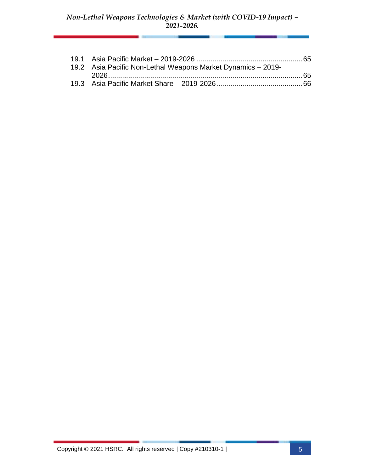| 19.2 Asia Pacific Non-Lethal Weapons Market Dynamics - 2019- |  |
|--------------------------------------------------------------|--|
|                                                              |  |
|                                                              |  |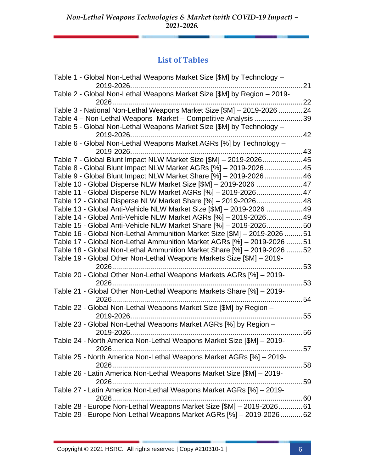### **List of Tables**

| Table 1 - Global Non-Lethal Weapons Market Size [\$M] by Technology -    | $\dots$ 21 |
|--------------------------------------------------------------------------|------------|
| Table 2 - Global Non-Lethal Weapons Market Size [\$M] by Region - 2019-  | $\dots$ 22 |
| Table 3 - National Non-Lethal Weapons Market Size [\$M] - 2019-2026  24  |            |
| Table 4 - Non-Lethal Weapons Market - Competitive Analysis               | 39         |
| Table 5 - Global Non-Lethal Weapons Market Size [\$M] by Technology -    |            |
|                                                                          | 42         |
| Table 6 - Global Non-Lethal Weapons Market AGRs [%] by Technology -      |            |
|                                                                          |            |
| Table 7 - Global Blunt Impact NLW Market Size [\$M] - 2019-2026 45       |            |
| Table 8 - Global Blunt Impact NLW Market AGRs [%] - 2019-2026 45         |            |
| Table 9 - Global Blunt Impact NLW Market Share [%] - 2019-2026 46        |            |
| Table 10 - Global Disperse NLW Market Size [\$M] - 2019-2026  47         |            |
| Table 11 - Global Disperse NLW Market AGRs [%] - 2019-2026 47            |            |
| Table 12 - Global Disperse NLW Market Share [%] - 2019-2026 48           |            |
| Table 13 - Global Anti-Vehicle NLW Market Size [\$M] - 2019-2026  49     |            |
| Table 14 - Global Anti-Vehicle NLW Market AGRs [%] - 2019-2026 49        |            |
| Table 15 - Global Anti-Vehicle NLW Market Share [%] - 2019-202650        |            |
| Table 16 - Global Non-Lethal Ammunition Market Size [\$M] - 2019-2026 51 |            |
| Table 17 - Global Non-Lethal Ammunition Market AGRs [%] - 2019-2026 51   |            |
| Table 18 - Global Non-Lethal Ammunition Market Share [%] - 2019-2026 52  |            |
| Table 19 - Global Other Non-Lethal Weapons Markets Size [\$M] - 2019-    |            |
|                                                                          | 53         |
| Table 20 - Global Other Non-Lethal Weapons Markets AGRs [%] - 2019-      |            |
| 2026                                                                     | 53         |
| Table 21 - Global Other Non-Lethal Weapons Markets Share [%] - 2019-     |            |
|                                                                          | 54         |
| Table 22 - Global Non-Lethal Weapons Market Size [\$M] by Region -       |            |
|                                                                          | 55         |
| Table 23 - Global Non-Lethal Weapons Market AGRs [%] by Region -         |            |
| Table 24 - North America Non-Lethal Weapons Market Size [\$M] - 2019-    | 56         |
|                                                                          |            |
| Table 25 - North America Non-Lethal Weapons Market AGRs [%] - 2019-      |            |
|                                                                          |            |
| Table 26 - Latin America Non-Lethal Weapons Market Size [\$M] - 2019-    |            |
|                                                                          |            |
| Table 27 - Latin America Non-Lethal Weapons Market AGRs [%] - 2019-      |            |
|                                                                          |            |
| Table 28 - Europe Non-Lethal Weapons Market Size [\$M] - 2019-2026 61    |            |
| Table 29 - Europe Non-Lethal Weapons Market AGRs [%] - 2019-2026 62      |            |
|                                                                          |            |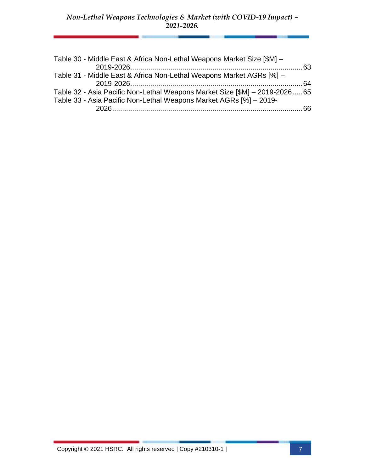| Table 30 - Middle East & Africa Non-Lethal Weapons Market Size [\$M] -      |  |
|-----------------------------------------------------------------------------|--|
|                                                                             |  |
| Table 31 - Middle East & Africa Non-Lethal Weapons Market AGRs [%] -        |  |
|                                                                             |  |
| Table 32 - Asia Pacific Non-Lethal Weapons Market Size [\$M] - 2019-2026 65 |  |
| Table 33 - Asia Pacific Non-Lethal Weapons Market AGRs [%] - 2019-          |  |
|                                                                             |  |
|                                                                             |  |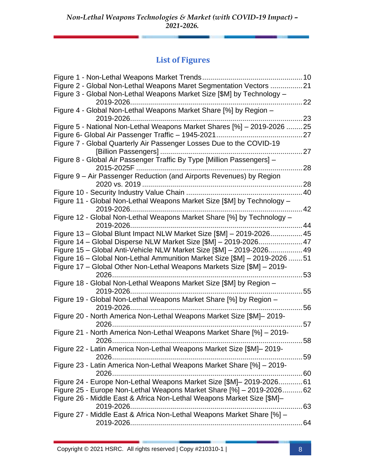### **List of Figures**

| Figure 2 - Global Non-Lethal Weapons Maret Segmentation Vectors 21        |            |
|---------------------------------------------------------------------------|------------|
| Figure 3 - Global Non-Lethal Weapons Market Size [\$M] by Technology -    |            |
|                                                                           | 22         |
| Figure 4 - Global Non-Lethal Weapons Market Share [%] by Region -         |            |
| 2019-2026                                                                 | 23         |
| Figure 5 - National Non-Lethal Weapons Market Shares [%] - 2019-2026  25  |            |
|                                                                           | . 27       |
| Figure 7 - Global Quarterly Air Passenger Losses Due to the COVID-19      |            |
|                                                                           |            |
| Figure 8 - Global Air Passenger Traffic By Type [Million Passengers] -    |            |
| 2015-2025F                                                                | 28         |
| Figure 9 – Air Passenger Reduction (and Airports Revenues) by Region      |            |
|                                                                           | 28         |
|                                                                           |            |
| Figure 11 - Global Non-Lethal Weapons Market Size [\$M] by Technology -   |            |
|                                                                           | $\dots$ 42 |
| Figure 12 - Global Non-Lethal Weapons Market Share [%] by Technology -    |            |
| 2019-2026                                                                 | 44         |
| Figure 13 - Global Blunt Impact NLW Market Size [\$M] - 2019-2026 45      |            |
| Figure 14 - Global Disperse NLW Market Size [\$M] - 2019-2026 47          |            |
| Figure 15 - Global Anti-Vehicle NLW Market Size [\$M] - 2019-2026 49      |            |
| Figure 16 - Global Non-Lethal Ammunition Market Size [\$M] - 2019-2026 51 |            |
| Figure 17 – Global Other Non-Lethal Weapons Markets Size [\$M] – 2019-    |            |
| 2026                                                                      | 53         |
| Figure 18 - Global Non-Lethal Weapons Market Size [\$M] by Region -       |            |
| 2019-2026                                                                 | 55         |
| Figure 19 - Global Non-Lethal Weapons Market Share [%] by Region -        |            |
|                                                                           | 56         |
| Figure 20 - North America Non-Lethal Weapons Market Size [\$M]-2019-      |            |
|                                                                           | 57         |
| Figure 21 - North America Non-Lethal Weapons Market Share [%] - 2019-     |            |
| 58                                                                        |            |
| Figure 22 - Latin America Non-Lethal Weapons Market Size [\$M]-2019-      |            |
| 59                                                                        |            |
| Figure 23 - Latin America Non-Lethal Weapons Market Share [%] - 2019-     |            |
|                                                                           |            |
| Figure 24 - Europe Non-Lethal Weapons Market Size [\$M] - 2019-2026 61    |            |
| Figure 25 - Europe Non-Lethal Weapons Market Share [%] - 2019-2026 62     |            |
| Figure 26 - Middle East & Africa Non-Lethal Weapons Market Size [\$M]-    |            |
|                                                                           |            |
| Figure 27 - Middle East & Africa Non-Lethal Weapons Market Share [%] -    |            |
|                                                                           |            |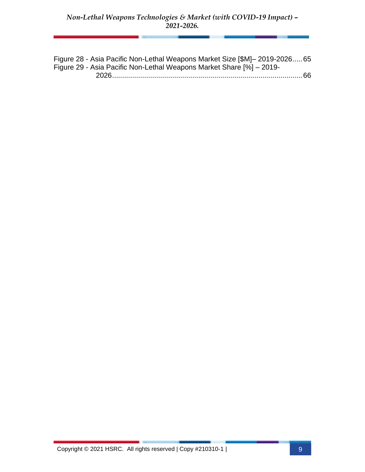Figure 28 - Asia Pacific Non-Lethal Weapons Market Size [\$M]– 2019-2026.....65 Figure 29 - Asia Pacific Non-Lethal Weapons Market Share [%] – 2019-

2026...............................................................................................66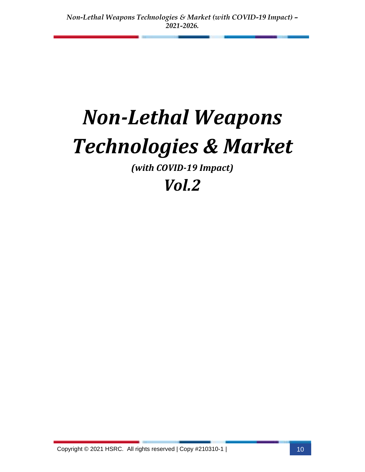# *Non-Lethal Weapons Technologies & Market*

*(with COVID-19 Impact)*

## *Vol.2*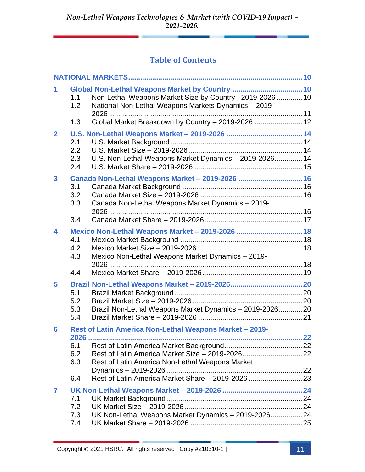### **Table of Contents**

| 1              | 1.1<br>1.2<br>1.3 | Global Non-Lethal Weapons Market by Country  10<br>Non-Lethal Weapons Market Size by Country-2019-2026 10<br>National Non-Lethal Weapons Markets Dynamics - 2019-<br>Global Market Breakdown by Country - 2019-2026  12 |  |
|----------------|-------------------|-------------------------------------------------------------------------------------------------------------------------------------------------------------------------------------------------------------------------|--|
| $\overline{2}$ |                   |                                                                                                                                                                                                                         |  |
|                | 2.1<br>2.2        |                                                                                                                                                                                                                         |  |
|                | 2.3<br>2.4        | U.S. Non-Lethal Weapons Market Dynamics - 2019-2026 14                                                                                                                                                                  |  |
| 3              |                   | Canada Non-Lethal Weapons Market - 2019-2026  16                                                                                                                                                                        |  |
|                | 3.1<br>3.2        |                                                                                                                                                                                                                         |  |
|                | 3.3               | Canada Non-Lethal Weapons Market Dynamics - 2019-                                                                                                                                                                       |  |
|                | 3.4               |                                                                                                                                                                                                                         |  |
| 4              |                   | Mexico Non-Lethal Weapons Market - 2019-2026  18                                                                                                                                                                        |  |
|                | 4.1<br>4.2        |                                                                                                                                                                                                                         |  |
|                | 4.3               | Mexico Non-Lethal Weapons Market Dynamics - 2019-                                                                                                                                                                       |  |
|                | 4.4               |                                                                                                                                                                                                                         |  |
| 5              |                   |                                                                                                                                                                                                                         |  |
|                | 5.1               |                                                                                                                                                                                                                         |  |
|                | 5.2               |                                                                                                                                                                                                                         |  |
|                | 5.3<br>5.4        | Brazil Non-Lethal Weapons Market Dynamics - 2019-2026 20                                                                                                                                                                |  |
| 6              |                   | Rest of Latin America Non-Lethal Weapons Market - 2019-                                                                                                                                                                 |  |
|                |                   |                                                                                                                                                                                                                         |  |
|                | 6.1               |                                                                                                                                                                                                                         |  |
|                | 6.2               |                                                                                                                                                                                                                         |  |
|                | 6.3               | Rest of Latin America Non-Lethal Weapons Market                                                                                                                                                                         |  |
|                | 6.4               |                                                                                                                                                                                                                         |  |
| 7              |                   |                                                                                                                                                                                                                         |  |
|                | 7.1               |                                                                                                                                                                                                                         |  |
|                | 7.2               |                                                                                                                                                                                                                         |  |
|                | 7.3               | UK Non-Lethal Weapons Market Dynamics - 2019-2026 24                                                                                                                                                                    |  |
|                | 7.4               |                                                                                                                                                                                                                         |  |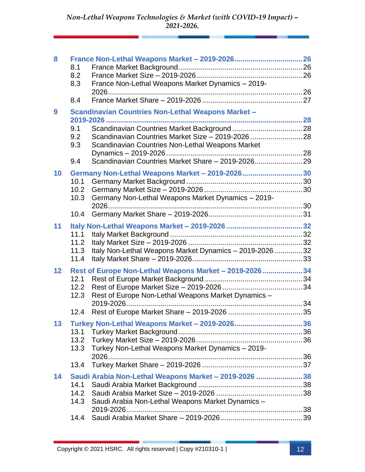| 8                |      |                                                           |  |
|------------------|------|-----------------------------------------------------------|--|
|                  | 8.1  |                                                           |  |
|                  | 8.2  |                                                           |  |
|                  | 8.3  | France Non-Lethal Weapons Market Dynamics - 2019-         |  |
|                  |      |                                                           |  |
|                  | 8.4  |                                                           |  |
| $\boldsymbol{9}$ |      |                                                           |  |
|                  |      | <b>Scandinavian Countries Non-Lethal Weapons Market -</b> |  |
|                  |      |                                                           |  |
|                  | 9.1  |                                                           |  |
|                  | 9.2  | Scandinavian Countries Market Size - 2019-2026  28        |  |
|                  | 9.3  | Scandinavian Countries Non-Lethal Weapons Market          |  |
|                  |      |                                                           |  |
|                  | 9.4  |                                                           |  |
| 10               |      | Germany Non-Lethal Weapons Market - 2019-2026 30          |  |
|                  | 10.1 |                                                           |  |
|                  | 10.2 |                                                           |  |
|                  | 10.3 |                                                           |  |
|                  |      | Germany Non-Lethal Weapons Market Dynamics - 2019-        |  |
|                  |      |                                                           |  |
|                  | 10.4 |                                                           |  |
| 11               |      |                                                           |  |
|                  | 11.1 |                                                           |  |
|                  | 11.2 |                                                           |  |
|                  | 11.3 | Italy Non-Lethal Weapons Market Dynamics - 2019-202632    |  |
|                  | 11.4 |                                                           |  |
|                  |      |                                                           |  |
| 12               |      | Rest of Europe Non-Lethal Weapons Market - 2019-2026 34   |  |
|                  | 12.1 |                                                           |  |
|                  | 12.2 |                                                           |  |
|                  | 12.3 | Rest of Europe Non-Lethal Weapons Market Dynamics -       |  |
|                  |      |                                                           |  |
|                  | 12.4 |                                                           |  |
| 13               |      |                                                           |  |
|                  | 13.1 |                                                           |  |
|                  | 13.2 |                                                           |  |
|                  | 13.3 |                                                           |  |
|                  |      | Turkey Non-Lethal Weapons Market Dynamics - 2019-         |  |
|                  |      |                                                           |  |
|                  | 13.4 |                                                           |  |
| 14               |      | Saudi Arabia Non-Lethal Weapons Market - 2019-2026  38    |  |
|                  | 14.1 |                                                           |  |
|                  | 14.2 |                                                           |  |
|                  | 14.3 | Saudi Arabia Non-Lethal Weapons Market Dynamics -         |  |
|                  |      | 2019-2026                                                 |  |
|                  | 14.4 |                                                           |  |
|                  |      |                                                           |  |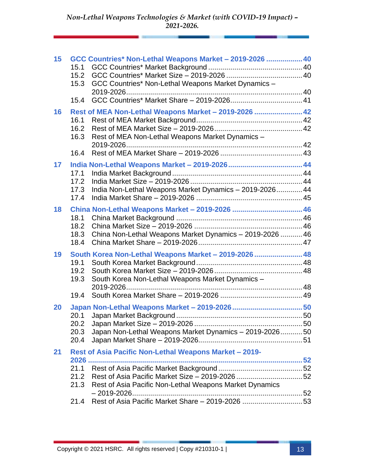| 15 | 15.1<br>15.2<br>15.3         | GCC Countries* Non-Lethal Weapons Market - 2019-2026  40<br>GCC Countries* Non-Lethal Weapons Market Dynamics -           |  |
|----|------------------------------|---------------------------------------------------------------------------------------------------------------------------|--|
|    | 15.4                         |                                                                                                                           |  |
| 16 | 16.1<br>16.2<br>16.3<br>16.4 | Rest of MEA Non-Lethal Weapons Market - 2019-2026  42<br>Rest of MEA Non-Lethal Weapons Market Dynamics -                 |  |
| 17 | 17.1<br>17.2<br>17.3<br>17.4 | India Non-Lethal Weapons Market Dynamics - 2019-2026 44                                                                   |  |
| 18 | 18.1<br>18.2<br>18.3<br>18.4 | China Non-Lethal Weapons Market - 2019-2026  46<br>China Non-Lethal Weapons Market Dynamics - 2019-2026  46               |  |
| 19 | 19.1<br>19.2<br>19.3         | South Korea Non-Lethal Weapons Market - 2019-2026  48<br>South Korea Non-Lethal Weapons Market Dynamics -                 |  |
|    | 19.4                         |                                                                                                                           |  |
| 20 | 20.1<br>20.2<br>20.3<br>20.4 | Japan Non-Lethal Weapons Market Dynamics - 2019-2026 50                                                                   |  |
| 21 | 21.1<br>21.2<br>21.3         | Rest of Asia Pacific Non-Lethal Weapons Market - 2019-<br>2026<br>Rest of Asia Pacific Non-Lethal Weapons Market Dynamics |  |
|    | 21.4                         | Rest of Asia Pacific Market Share - 2019-2026 53                                                                          |  |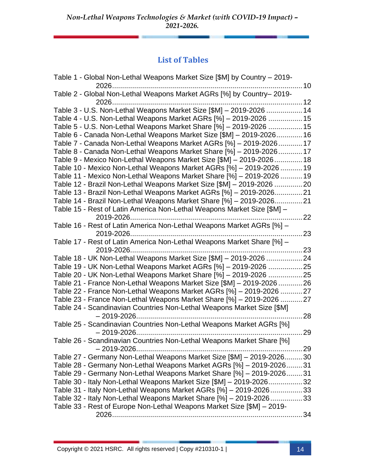#### **List of Tables**

| Table 1 - Global Non-Lethal Weapons Market Size [\$M] by Country – 2019- |      |
|--------------------------------------------------------------------------|------|
| 2026                                                                     | 10   |
| Table 2 - Global Non-Lethal Weapons Market AGRs [%] by Country-2019-     |      |
|                                                                          |      |
| Table 3 - U.S. Non-Lethal Weapons Market Size [\$M] - 2019-2026  14      |      |
| Table 4 - U.S. Non-Lethal Weapons Market AGRs [%] - 2019-2026 15         |      |
| Table 5 - U.S. Non-Lethal Weapons Market Share [%] - 2019-2026  15       |      |
| Table 6 - Canada Non-Lethal Weapons Market Size [\$M] - 2019-202616      |      |
| Table 7 - Canada Non-Lethal Weapons Market AGRs [%] - 2019-202617        |      |
| Table 8 - Canada Non-Lethal Weapons Market Share [%] - 2019-202617       |      |
| Table 9 - Mexico Non-Lethal Weapons Market Size [\$M] - 2019-202618      |      |
| Table 10 - Mexico Non-Lethal Weapons Market AGRs [%] - 2019-2026  19     |      |
| Table 11 - Mexico Non-Lethal Weapons Market Share [%] - 2019-2026  19    |      |
| Table 12 - Brazil Non-Lethal Weapons Market Size [\$M] - 2019-2026 20    |      |
| Table 13 - Brazil Non-Lethal Weapons Market AGRs [%] - 2019-202621       |      |
| Table 14 - Brazil Non-Lethal Weapons Market Share [%] - 2019-202621      |      |
| Table 15 - Rest of Latin America Non-Lethal Weapons Market Size [\$M] -  |      |
|                                                                          | 22   |
| Table 16 - Rest of Latin America Non-Lethal Weapons Market AGRs [%] -    |      |
|                                                                          | 23   |
| Table 17 - Rest of Latin America Non-Lethal Weapons Market Share [%] -   |      |
| 2019-2026                                                                | . 23 |
| Table 18 - UK Non-Lethal Weapons Market Size [\$M] - 2019-2026 24        |      |
| Table 19 - UK Non-Lethal Weapons Market AGRs [%] - 2019-2026 25          |      |
| Table 20 - UK Non-Lethal Weapons Market Share [%] - 2019-2026 25         |      |
| Table 21 - France Non-Lethal Weapons Market Size [\$M] - 2019-2026 26    |      |
| Table 22 - France Non-Lethal Weapons Market AGRs [%] - 2019-2026  27     |      |
| Table 23 - France Non-Lethal Weapons Market Share [%] - 2019-2026  27    |      |
| Table 24 - Scandinavian Countries Non-Lethal Weapons Market Size [\$M]   |      |
|                                                                          | . 28 |
| Table 25 - Scandinavian Countries Non-Lethal Weapons Market AGRs [%]     |      |
| $-2019 - 2026$                                                           | 29   |
| Table 26 - Scandinavian Countries Non-Lethal Weapons Market Share [%]    |      |
|                                                                          |      |
| Table 27 - Germany Non-Lethal Weapons Market Size [\$M] - 2019-202630    |      |
| Table 28 - Germany Non-Lethal Weapons Market AGRs [%] - 2019-202631      |      |
| Table 29 - Germany Non-Lethal Weapons Market Share [%] - 2019-202631     |      |
| Table 30 - Italy Non-Lethal Weapons Market Size [\$M] - 2019-202632      |      |
| Table 31 - Italy Non-Lethal Weapons Market AGRs [%] - 2019-202633        |      |
| Table 32 - Italy Non-Lethal Weapons Market Share [%] - 2019-202633       |      |
| Table 33 - Rest of Europe Non-Lethal Weapons Market Size [\$M] - 2019-   |      |
|                                                                          |      |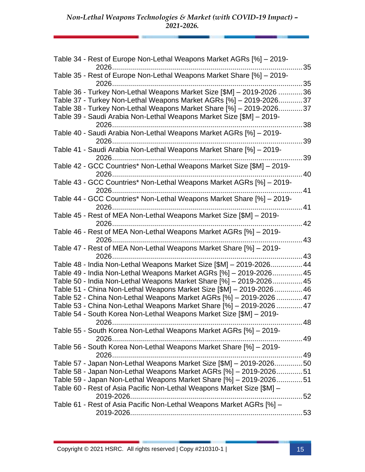| Table 34 - Rest of Europe Non-Lethal Weapons Market AGRs [%] – 2019-<br>2026                                                              |     |
|-------------------------------------------------------------------------------------------------------------------------------------------|-----|
| Table 35 - Rest of Europe Non-Lethal Weapons Market Share [%] - 2019-                                                                     | 35  |
|                                                                                                                                           |     |
| Table 36 - Turkey Non-Lethal Weapons Market Size [\$M] - 2019-2026 36                                                                     |     |
| Table 37 - Turkey Non-Lethal Weapons Market AGRs [%] - 2019-202637                                                                        |     |
| Table 38 - Turkey Non-Lethal Weapons Market Share [%] - 2019-2026                                                                         | .37 |
| Table 39 - Saudi Arabia Non-Lethal Weapons Market Size [\$M] - 2019-                                                                      | 38  |
| Table 40 - Saudi Arabia Non-Lethal Weapons Market AGRs [%] - 2019-                                                                        |     |
|                                                                                                                                           | 39  |
| Table 41 - Saudi Arabia Non-Lethal Weapons Market Share [%] - 2019-                                                                       | 39  |
| Table 42 - GCC Countries* Non-Lethal Weapons Market Size [\$M] - 2019-                                                                    |     |
|                                                                                                                                           | .40 |
| Table 43 - GCC Countries* Non-Lethal Weapons Market AGRs [%] - 2019-                                                                      |     |
|                                                                                                                                           | .41 |
| Table 44 - GCC Countries* Non-Lethal Weapons Market Share [%] - 2019-<br>2026                                                             | 41  |
| Table 45 - Rest of MEA Non-Lethal Weapons Market Size [\$M] - 2019-                                                                       |     |
|                                                                                                                                           | 42  |
| Table 46 - Rest of MEA Non-Lethal Weapons Market AGRs [%] - 2019-                                                                         |     |
|                                                                                                                                           |     |
| Table 47 - Rest of MEA Non-Lethal Weapons Market Share [%] - 2019-                                                                        |     |
|                                                                                                                                           |     |
| Table 48 - India Non-Lethal Weapons Market Size [\$M] - 2019-2026 44<br>Table 49 - India Non-Lethal Weapons Market AGRs [%] - 2019-202645 |     |
| Table 50 - India Non-Lethal Weapons Market Share [%] - 2019-2026 45                                                                       |     |
| Table 51 - China Non-Lethal Weapons Market Size [\$M] - 2019-2026 46                                                                      |     |
| Table 52 - China Non-Lethal Weapons Market AGRs [%] - 2019-2026  47                                                                       |     |
| Table 53 - China Non-Lethal Weapons Market Share [%] - 2019-2026  47                                                                      |     |
| Table 54 - South Korea Non-Lethal Weapons Market Size [\$M] - 2019-                                                                       |     |
| . 48                                                                                                                                      |     |
| Table 55 - South Korea Non-Lethal Weapons Market AGRs [%] - 2019-                                                                         |     |
|                                                                                                                                           |     |
| Table 56 - South Korea Non-Lethal Weapons Market Share [%] - 2019-                                                                        |     |
| Table 57 - Japan Non-Lethal Weapons Market Size [\$M] - 2019-202650                                                                       |     |
| Table 58 - Japan Non-Lethal Weapons Market AGRs [%] - 2019-202651                                                                         |     |
| Table 59 - Japan Non-Lethal Weapons Market Share [%] - 2019-202651                                                                        |     |
| Table 60 - Rest of Asia Pacific Non-Lethal Weapons Market Size [\$M] -                                                                    |     |
|                                                                                                                                           |     |
| Table 61 - Rest of Asia Pacific Non-Lethal Weapons Market AGRs [%] -                                                                      |     |
|                                                                                                                                           |     |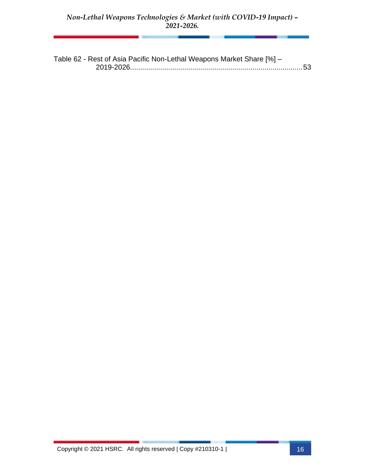Table 62 - Rest of Asia Pacific Non-Lethal Weapons Market Share [%] – 2019-2026......................................................................................53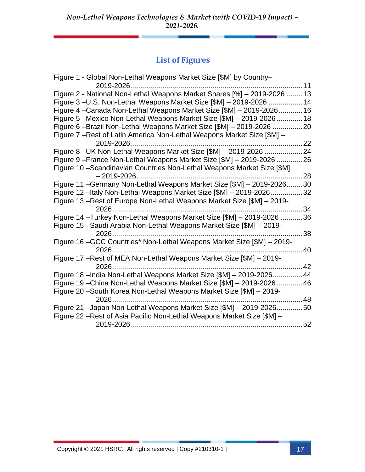### **List of Figures**

| Figure 1 - Global Non-Lethal Weapons Market Size [\$M] by Country-       |    |
|--------------------------------------------------------------------------|----|
| 2019-2026                                                                | 11 |
| Figure 2 - National Non-Lethal Weapons Market Shares [%] - 2019-2026  13 |    |
| Figure 3-U.S. Non-Lethal Weapons Market Size [\$M] - 2019-2026  14       |    |
| Figure 4-Canada Non-Lethal Weapons Market Size [\$M] - 2019-202616       |    |
| Figure 5 – Mexico Non-Lethal Weapons Market Size [\$M] – 2019-202618     |    |
| Figure 6-Brazil Non-Lethal Weapons Market Size [\$M] - 2019-2026<br>.    | 20 |
| Figure 7 – Rest of Latin America Non-Lethal Weapons Market Size [\$M] –  |    |
|                                                                          | 22 |
| Figure 8-UK Non-Lethal Weapons Market Size [\$M] - 2019-2026 24          |    |
| Figure 9-France Non-Lethal Weapons Market Size [\$M] - 2019-2026         | 26 |
| Figure 10 - Scandinavian Countries Non-Lethal Weapons Market Size [\$M]  |    |
|                                                                          | 28 |
| Figure 11 - Germany Non-Lethal Weapons Market Size [\$M] - 2019-2026.    | 30 |
| Figure 12 -Italy Non-Lethal Weapons Market Size [\$M] - 2019-2026        | 32 |
| Figure 13-Rest of Europe Non-Lethal Weapons Market Size [\$M] - 2019-    |    |
|                                                                          | 34 |
| Figure 14 - Turkey Non-Lethal Weapons Market Size [\$M] - 2019-2026      | 36 |
| Figure 15 - Saudi Arabia Non-Lethal Weapons Market Size [\$M] - 2019-    |    |
| 2026                                                                     | 38 |
| Figure 16 - GCC Countries* Non-Lethal Weapons Market Size [\$M] - 2019-  |    |
| 2026                                                                     | 40 |
| Figure 17 - Rest of MEA Non-Lethal Weapons Market Size [\$M] - 2019-     |    |
| 2026.                                                                    | 42 |
| Figure 18 - India Non-Lethal Weapons Market Size [\$M] - 2019-2026 44    |    |
| Figure 19 - China Non-Lethal Weapons Market Size [\$M] - 2019-2026       | 46 |
| Figure 20 - South Korea Non-Lethal Weapons Market Size [\$M] - 2019-     |    |
| 2026.                                                                    | 48 |
| Figure 21 -Japan Non-Lethal Weapons Market Size [\$M] - 2019-202650      |    |
| Figure 22 - Rest of Asia Pacific Non-Lethal Weapons Market Size [\$M] -  |    |
|                                                                          | 52 |
|                                                                          |    |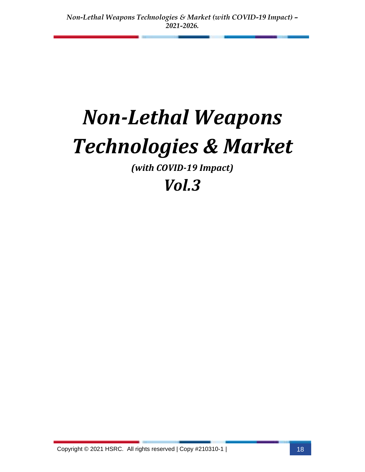# *Non-Lethal Weapons Technologies & Market*

*(with COVID-19 Impact)*

## *Vol.3*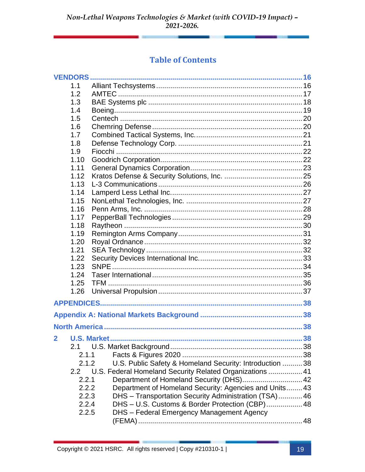### **Table of Contents**

| <b>VENDORS</b> |                                                          |     |
|----------------|----------------------------------------------------------|-----|
| 1.1            |                                                          |     |
| 1.2            |                                                          |     |
| 1.3            |                                                          |     |
| 1.4            |                                                          |     |
| 1.5            |                                                          |     |
| 1.6            |                                                          |     |
| 1.7            |                                                          |     |
| 1.8            |                                                          |     |
| 1.9            |                                                          |     |
| 1.10           |                                                          |     |
| 1.11           |                                                          |     |
| 1.12           |                                                          |     |
| 1.13           |                                                          |     |
| 1.14           |                                                          |     |
| 1.15           |                                                          |     |
| 1.16           |                                                          |     |
| 1.17           |                                                          |     |
| 1.18           |                                                          |     |
| 1.19           |                                                          |     |
| 1.20           |                                                          |     |
| 1.21           |                                                          |     |
| 1.22           |                                                          |     |
| 1.23           |                                                          |     |
| 1.24           |                                                          |     |
| 1.25           |                                                          |     |
| 1.26           |                                                          |     |
|                |                                                          |     |
|                |                                                          |     |
|                |                                                          |     |
|                |                                                          |     |
|                | 2 U.S. Market                                            | .38 |
| 2.1            |                                                          |     |
| 2.1.1          |                                                          |     |
| 2.1.2          | U.S. Public Safety & Homeland Security: Introduction  38 |     |
| 2.2            | U.S. Federal Homeland Security Related Organizations  41 |     |
| 2.2.1          |                                                          |     |
| 2.2.2          | Department of Homeland Security: Agencies and Units 43   |     |
| 2.2.3          | DHS - Transportation Security Administration (TSA) 46    |     |
| 2.2.4          | DHS - U.S. Customs & Border Protection (CBP) 48          |     |
| 2.2.5          | DHS - Federal Emergency Management Agency                |     |
|                |                                                          |     |
|                |                                                          |     |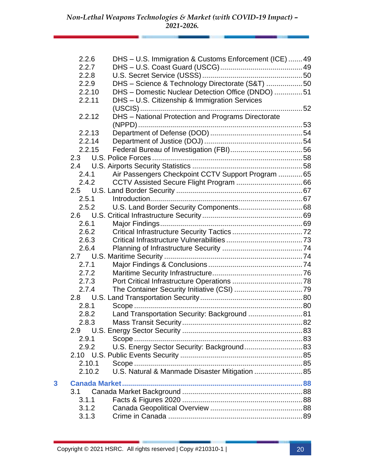|   | 2.2.6  | DHS - U.S. Immigration & Customs Enforcement (ICE) 49 |  |
|---|--------|-------------------------------------------------------|--|
|   | 2.2.7  |                                                       |  |
|   | 2.2.8  |                                                       |  |
|   | 2.2.9  | DHS - Science & Technology Directorate (S&T) 50       |  |
|   | 2.2.10 | DHS - Domestic Nuclear Detection Office (DNDO) 51     |  |
|   | 2.2.11 | DHS - U.S. Citizenship & Immigration Services         |  |
|   |        |                                                       |  |
|   | 2.2.12 | DHS - National Protection and Programs Directorate    |  |
|   |        |                                                       |  |
|   | 2.2.13 |                                                       |  |
|   | 2.2.14 |                                                       |  |
|   | 2.2.15 |                                                       |  |
|   | 2.3    |                                                       |  |
|   | 2.4    |                                                       |  |
|   | 2.4.1  | Air Passengers Checkpoint CCTV Support Program  65    |  |
|   | 2.4.2  |                                                       |  |
|   |        |                                                       |  |
|   | 2.5.1  |                                                       |  |
|   | 2.5.2  |                                                       |  |
|   |        |                                                       |  |
|   | 2.6.1  |                                                       |  |
|   | 2.6.2  |                                                       |  |
|   | 2.6.3  |                                                       |  |
|   | 2.6.4  |                                                       |  |
|   |        |                                                       |  |
|   | 2.7.1  |                                                       |  |
|   | 2.7.2  |                                                       |  |
|   | 2.7.3  |                                                       |  |
|   | 2.7.4  |                                                       |  |
|   |        |                                                       |  |
|   | 2.8.1  |                                                       |  |
|   | 2.8.2  | Land Transportation Security: Background  81          |  |
|   | 2.8.3  |                                                       |  |
|   | 2.9    |                                                       |  |
|   | 2.9.1  |                                                       |  |
|   | 2.9.2  | U.S. Energy Sector Security: Background 83            |  |
|   |        |                                                       |  |
|   | 2.10.1 |                                                       |  |
|   | 2.10.2 | U.S. Natural & Manmade Disaster Mitigation  85        |  |
| 3 |        |                                                       |  |
|   | 3.1    |                                                       |  |
|   | 3.1.1  |                                                       |  |
|   | 3.1.2  |                                                       |  |
|   | 3.1.3  |                                                       |  |
|   |        |                                                       |  |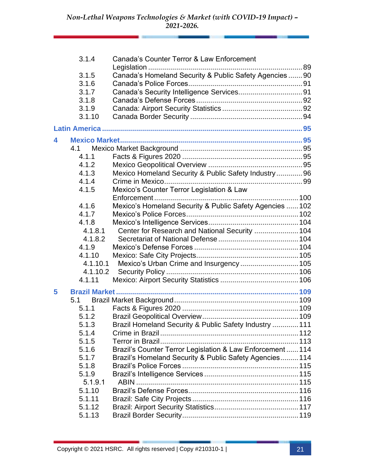|   | 3.1.4    | Canada's Counter Terror & Law Enforcement                  |  |
|---|----------|------------------------------------------------------------|--|
|   | 3.1.5    | Canada's Homeland Security & Public Safety Agencies  90    |  |
|   | 3.1.6    |                                                            |  |
|   | 3.1.7    |                                                            |  |
|   | 3.1.8    |                                                            |  |
|   | 3.1.9    |                                                            |  |
|   | 3.1.10   |                                                            |  |
|   |          |                                                            |  |
| 4 |          |                                                            |  |
|   | 4.1      |                                                            |  |
|   | 4.1.1    |                                                            |  |
|   | 4.1.2    |                                                            |  |
|   | 4.1.3    | Mexico Homeland Security & Public Safety Industry 96       |  |
|   | 4.1.4    |                                                            |  |
|   | 4.1.5    | Mexico's Counter Terror Legislation & Law                  |  |
|   |          |                                                            |  |
|   | 4.1.6    | Mexico's Homeland Security & Public Safety Agencies  102   |  |
|   | 4.1.7    |                                                            |  |
|   | 4.1.8    |                                                            |  |
|   | 4.1.8.1  | Center for Research and National Security  104             |  |
|   | 4.1.8.2  |                                                            |  |
|   | 4.1.9    |                                                            |  |
|   | 4.1.10   |                                                            |  |
|   | 4.1.10.1 | Mexico's Urban Crime and Insurgency  105                   |  |
|   | 4.1.10.2 |                                                            |  |
|   | 4.1.11   |                                                            |  |
| 5 |          |                                                            |  |
|   | 5.1      |                                                            |  |
|   | 5.1.1    |                                                            |  |
|   | 5.1.2    |                                                            |  |
|   | 5.1.3    | Brazil Homeland Security & Public Safety Industry  111     |  |
|   | 5.1.4    |                                                            |  |
|   | 5.1.5    |                                                            |  |
|   | 5.1.6    | Brazil's Counter Terror Legislation & Law Enforcement  114 |  |
|   | 5.1.7    | Brazil's Homeland Security & Public Safety Agencies 114    |  |
|   | 5.1.8    |                                                            |  |
|   | 5.1.9    |                                                            |  |
|   | 5.1.9.1  |                                                            |  |
|   | 5.1.10   |                                                            |  |
|   | 5.1.11   |                                                            |  |
|   | 5.1.12   |                                                            |  |
|   | 5.1.13   |                                                            |  |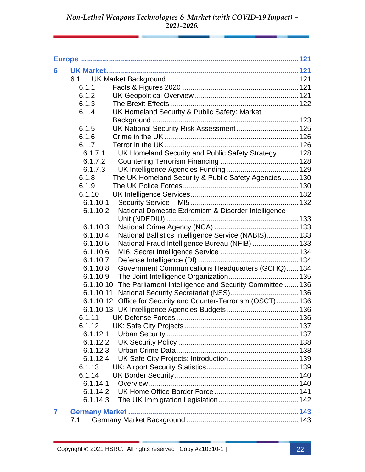| 6              |                      |                                                                |  |
|----------------|----------------------|----------------------------------------------------------------|--|
|                | 6.1                  |                                                                |  |
|                | 6.1.1                |                                                                |  |
|                | 6.1.2                |                                                                |  |
|                | 6.1.3                |                                                                |  |
|                | 6.1.4                | UK Homeland Security & Public Safety: Market                   |  |
|                |                      |                                                                |  |
|                | 6.1.5                | UK National Security Risk Assessment 125                       |  |
|                | 6.1.6                |                                                                |  |
|                | 6.1.7                |                                                                |  |
|                | 6.1.7.1              | UK Homeland Security and Public Safety Strategy  128           |  |
|                | 6.1.7.2              |                                                                |  |
|                | 6.1.7.3              |                                                                |  |
|                | 6.1.8                | The UK Homeland Security & Public Safety Agencies  130         |  |
|                | 6.1.9                |                                                                |  |
|                | 6.1.10               |                                                                |  |
|                | 6.1.10.1             |                                                                |  |
|                | 6.1.10.2             | National Domestic Extremism & Disorder Intelligence            |  |
|                |                      |                                                                |  |
|                | 6.1.10.3             |                                                                |  |
|                | 6.1.10.4             | National Ballistics Intelligence Service (NABIS) 133           |  |
|                | 6.1.10.5             | National Fraud Intelligence Bureau (NFIB)  133                 |  |
|                | 6.1.10.6             |                                                                |  |
|                | 6.1.10.7             |                                                                |  |
|                | 6.1.10.8             | Government Communications Headquarters (GCHQ) 134              |  |
|                | 6.1.10.9             |                                                                |  |
|                | 6.1.10.10            | The Parliament Intelligence and Security Committee  136        |  |
|                | 6.1.10.11            |                                                                |  |
|                |                      | 6.1.10.12 Office for Security and Counter-Terrorism (OSCT) 136 |  |
|                |                      |                                                                |  |
|                | 6.1.11               |                                                                |  |
|                | 6.1.12               |                                                                |  |
|                | 6.1.12.1             |                                                                |  |
|                | 6.1.12.2<br>6.1.12.3 |                                                                |  |
|                |                      |                                                                |  |
|                | 6.1.12.4             |                                                                |  |
|                | 6.1.13<br>6.1.14     |                                                                |  |
|                | 6.1.14.1             |                                                                |  |
|                | 6.1.14.2             |                                                                |  |
|                | 6.1.14.3             |                                                                |  |
|                |                      |                                                                |  |
| $\overline{7}$ |                      |                                                                |  |
|                | 7.1                  |                                                                |  |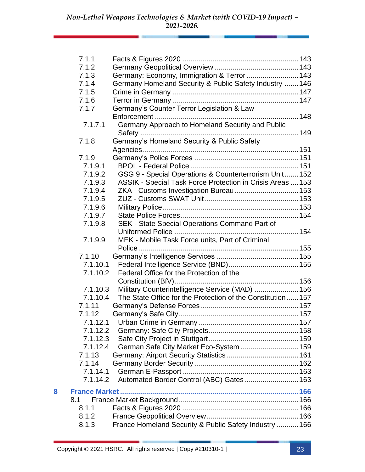|   | 7.1.1    |                                                            |  |
|---|----------|------------------------------------------------------------|--|
|   | 7.1.2    |                                                            |  |
|   | 7.1.3    | Germany: Economy, Immigration & Terror  143                |  |
|   | 7.1.4    | Germany Homeland Security & Public Safety Industry  146    |  |
|   | 7.1.5    |                                                            |  |
|   | 7.1.6    |                                                            |  |
|   | 7.1.7    | Germany's Counter Terror Legislation & Law                 |  |
|   |          |                                                            |  |
|   | 7.1.7.1  | Germany Approach to Homeland Security and Public           |  |
|   | 7.1.8    | Germany's Homeland Security & Public Safety                |  |
|   |          |                                                            |  |
|   | 7.1.9    |                                                            |  |
|   | 7.1.9.1  |                                                            |  |
|   | 7.1.9.2  | GSG 9 - Special Operations & Counterterrorism Unit 152     |  |
|   | 7.1.9.3  | ASSIK - Special Task Force Protection in Crisis Areas  153 |  |
|   | 7.1.9.4  |                                                            |  |
|   | 7.1.9.5  |                                                            |  |
|   | 7.1.9.6  |                                                            |  |
|   | 7.1.9.7  |                                                            |  |
|   | 7.1.9.8  | SEK - State Special Operations Command Part of             |  |
|   |          |                                                            |  |
|   | 7.1.9.9  | MEK - Mobile Task Force units, Part of Criminal            |  |
|   |          |                                                            |  |
|   | 7.1.10   |                                                            |  |
|   | 7.1.10.1 |                                                            |  |
|   | 7.1.10.2 | Federal Office for the Protection of the                   |  |
|   |          |                                                            |  |
|   | 7.1.10.3 | Military Counterintelligence Service (MAD)  156            |  |
|   | 7.1.10.4 | The State Office for the Protection of the Constitution157 |  |
|   | 7.1.11   |                                                            |  |
|   | 7.1.12   |                                                            |  |
|   |          |                                                            |  |
|   | 7.1.12.2 |                                                            |  |
|   | 7.1.12.3 |                                                            |  |
|   | 7.1.12.4 | German Safe City Market Eco-System  159                    |  |
|   | 7.1.13   |                                                            |  |
|   | 7.1.14   |                                                            |  |
|   | 7.1.14.1 |                                                            |  |
|   | 7.1.14.2 | Automated Border Control (ABC) Gates 163                   |  |
| 8 |          |                                                            |  |
|   | 8.1      |                                                            |  |
|   | 8.1.1    |                                                            |  |
|   | 8.1.2    |                                                            |  |
|   | 8.1.3    | France Homeland Security & Public Safety Industry  166     |  |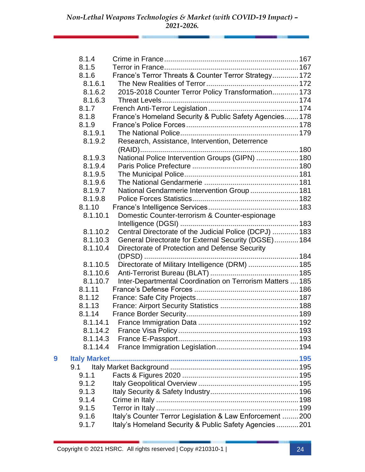|   | 8.1.4    |                                                           |  |
|---|----------|-----------------------------------------------------------|--|
|   | 8.1.5    |                                                           |  |
|   | 8.1.6    | France's Terror Threats & Counter Terror Strategy 172     |  |
|   | 8.1.6.1  |                                                           |  |
|   | 8.1.6.2  | 2015-2018 Counter Terror Policy Transformation 173        |  |
|   | 8.1.6.3  |                                                           |  |
|   | 8.1.7    |                                                           |  |
|   | 8.1.8    | France's Homeland Security & Public Safety Agencies 178   |  |
|   | 8.1.9    |                                                           |  |
|   | 8.1.9.1  |                                                           |  |
|   | 8.1.9.2  | Research, Assistance, Intervention, Deterrence            |  |
|   |          |                                                           |  |
|   | 8.1.9.3  | National Police Intervention Groups (GIPN)  180           |  |
|   | 8.1.9.4  |                                                           |  |
|   | 8.1.9.5  |                                                           |  |
|   | 8.1.9.6  |                                                           |  |
|   | 8.1.9.7  | National Gendarmerie Intervention Group  181              |  |
|   | 8.1.9.8  |                                                           |  |
|   | 8.1.10   |                                                           |  |
|   | 8.1.10.1 | Domestic Counter-terrorism & Counter-espionage            |  |
|   |          |                                                           |  |
|   | 8.1.10.2 | Central Directorate of the Judicial Police (DCPJ)  183    |  |
|   | 8.1.10.3 | General Directorate for External Security (DGSE) 184      |  |
|   | 8.1.10.4 | Directorate of Protection and Defense Security            |  |
|   | 8.1.10.5 | Directorate of Military Intelligence (DRM)  185           |  |
|   | 8.1.10.6 |                                                           |  |
|   | 8.1.10.7 | Inter-Departmental Coordination on Terrorism Matters  185 |  |
|   | 8.1.11   |                                                           |  |
|   | 8.1.12   |                                                           |  |
|   | 8.1.13   |                                                           |  |
|   | 8.1.14   |                                                           |  |
|   | 8.1.14.1 |                                                           |  |
|   | 8.1.14.2 |                                                           |  |
|   | 8.1.14.3 |                                                           |  |
|   | 8.1.14.4 |                                                           |  |
| 9 |          |                                                           |  |
|   | 9.1      |                                                           |  |
|   | 9.1.1    |                                                           |  |
|   | 9.1.2    |                                                           |  |
|   | 9.1.3    |                                                           |  |
|   | 9.1.4    |                                                           |  |
|   | 9.1.5    |                                                           |  |
|   | 9.1.6    | Italy's Counter Terror Legislation & Law Enforcement  200 |  |
|   | 9.1.7    | Italy's Homeland Security & Public Safety Agencies  201   |  |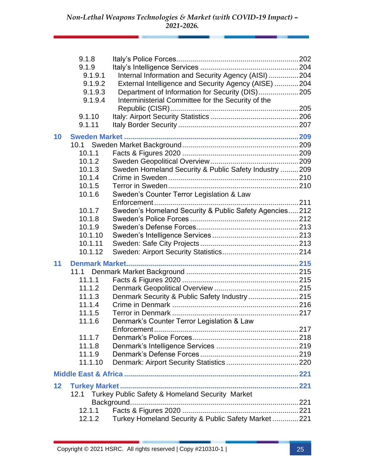|    | 9.1.8   |                                                        |  |
|----|---------|--------------------------------------------------------|--|
|    | 9.1.9   |                                                        |  |
|    | 9.1.9.1 | Internal Information and Security Agency (AISI)204     |  |
|    | 9.1.9.2 | External Intelligence and Security Agency (AISE) 204   |  |
|    | 9.1.9.3 | Department of Information for Security (DIS)205        |  |
|    | 9.1.9.4 | Interministerial Committee for the Security of the     |  |
|    |         |                                                        |  |
|    | 9.1.10  |                                                        |  |
|    | 9.1.11  |                                                        |  |
| 10 |         |                                                        |  |
|    |         |                                                        |  |
|    | 10.1.1  |                                                        |  |
|    | 10.1.2  |                                                        |  |
|    | 10.1.3  | Sweden Homeland Security & Public Safety Industry  209 |  |
|    | 10.1.4  |                                                        |  |
|    | 10.1.5  |                                                        |  |
|    | 10.1.6  | Sweden's Counter Terror Legislation & Law              |  |
|    |         |                                                        |  |
|    | 10.1.7  | Sweden's Homeland Security & Public Safety Agencies212 |  |
|    | 10.1.8  |                                                        |  |
|    | 10.1.9  |                                                        |  |
|    | 10.1.10 |                                                        |  |
|    | 10.1.11 |                                                        |  |
|    | 10.1.12 |                                                        |  |
| 11 |         |                                                        |  |
|    | 11.1    |                                                        |  |
|    | 11.1.1  |                                                        |  |
|    | 11.1.2  |                                                        |  |
|    | 11.1.3  | Denmark Security & Public Safety Industry215           |  |
|    | 11.1.4  |                                                        |  |
|    | 11.1.5  |                                                        |  |
|    | 11.1.6  | Denmark's Counter Terror Legislation & Law             |  |
|    |         |                                                        |  |
|    | 11.1.7  |                                                        |  |
|    | 11.1.8  |                                                        |  |
|    | 11.1.9  |                                                        |  |
|    | 11.1.10 |                                                        |  |
|    |         |                                                        |  |
| 12 |         |                                                        |  |
|    | 12.1    | Turkey Public Safety & Homeland Security Market        |  |
|    |         |                                                        |  |
|    | 12.1.1  |                                                        |  |
|    | 12.1.2  | Turkey Homeland Security & Public Safety Market221     |  |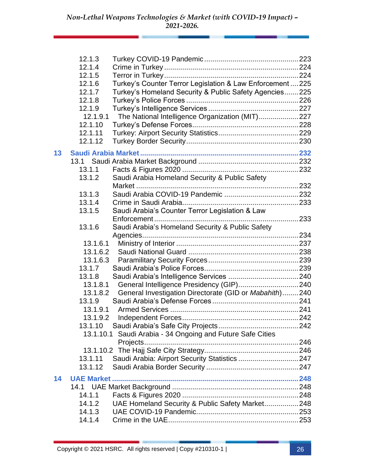|    | 12.1.3   |                                                            |  |
|----|----------|------------------------------------------------------------|--|
|    | 12.1.4   |                                                            |  |
|    | 12.1.5   |                                                            |  |
|    | 12.1.6   | Turkey's Counter Terror Legislation & Law Enforcement  225 |  |
|    | 12.1.7   | Turkey's Homeland Security & Public Safety Agencies 225    |  |
|    | 12.1.8   |                                                            |  |
|    | 12.1.9   |                                                            |  |
|    | 12.1.9.1 | The National Intelligence Organization (MIT) 227           |  |
|    | 12.1.10  |                                                            |  |
|    | 12.1.11  |                                                            |  |
|    | 12.1.12  |                                                            |  |
| 13 |          |                                                            |  |
|    | 13.1     |                                                            |  |
|    | 13.1.1   |                                                            |  |
|    | 13.1.2   | Saudi Arabia Homeland Security & Public Safety             |  |
|    |          |                                                            |  |
|    | 13.1.3   |                                                            |  |
|    | 13.1.4   |                                                            |  |
|    | 13.1.5   | Saudi Arabia's Counter Terror Legislation & Law            |  |
|    |          |                                                            |  |
|    | 13.1.6   | Saudi Arabia's Homeland Security & Public Safety           |  |
|    |          |                                                            |  |
|    | 13.1.6.1 |                                                            |  |
|    | 13.1.6.2 |                                                            |  |
|    | 13.1.6.3 |                                                            |  |
|    | 13.1.7   |                                                            |  |
|    | 13.1.8   |                                                            |  |
|    | 13.1.8.1 |                                                            |  |
|    | 13.1.8.2 | General Investigation Directorate (GID or Mabahith)240     |  |
|    | 13.1.9   |                                                            |  |
|    | 13.1.9.1 |                                                            |  |
|    | 13.1.9.2 |                                                            |  |
|    | 13.1.10  |                                                            |  |
|    |          | 13.1.10.1 Saudi Arabia - 34 Ongoing and Future Safe Cities |  |
|    |          | Projects                                                   |  |
|    |          |                                                            |  |
|    | 13.1.11  | Saudi Arabia: Airport Security Statistics  247             |  |
|    | 13.1.12  |                                                            |  |
|    |          |                                                            |  |
| 14 |          |                                                            |  |
|    |          |                                                            |  |
|    | 14.1.1   |                                                            |  |
|    | 14.1.2   | UAE Homeland Security & Public Safety Market248            |  |
|    | 14.1.3   |                                                            |  |
|    | 14.1.4   |                                                            |  |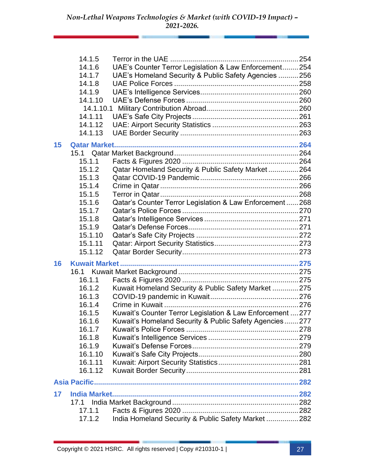|    | 14.1.5               |                                                            |  |
|----|----------------------|------------------------------------------------------------|--|
|    | 14.1.6               | UAE's Counter Terror Legislation & Law Enforcement 254     |  |
|    | 14.1.7               | UAE's Homeland Security & Public Safety Agencies  256      |  |
|    | 14.1.8               |                                                            |  |
|    | 14.1.9               |                                                            |  |
|    | 14.1.10              |                                                            |  |
|    |                      |                                                            |  |
|    | 14.1.11              |                                                            |  |
|    | 14.1.12              |                                                            |  |
|    | 14.1.13              |                                                            |  |
| 15 |                      |                                                            |  |
|    | 15.1                 |                                                            |  |
|    | 15.1.1               |                                                            |  |
|    | 15.1.2               | Qatar Homeland Security & Public Safety Market  264        |  |
|    | 15.1.3               |                                                            |  |
|    | 15.1.4               |                                                            |  |
|    | 15.1.5               |                                                            |  |
|    | 15.1.6               | Qatar's Counter Terror Legislation & Law Enforcement268    |  |
|    | 15.1.7               |                                                            |  |
|    | 15.1.8               |                                                            |  |
|    | 15.1.9               |                                                            |  |
|    | 15.1.10              |                                                            |  |
|    | 15.1.11              |                                                            |  |
|    | 15.1.12              |                                                            |  |
| 16 |                      |                                                            |  |
|    | 16.1                 |                                                            |  |
|    | 16.1.1               |                                                            |  |
|    | 16.1.2               | Kuwait Homeland Security & Public Safety Market  275       |  |
|    | 16.1.3               |                                                            |  |
|    | 16.1.4               |                                                            |  |
|    | 16.1.5               | Kuwait's Counter Terror Legislation & Law Enforcement  277 |  |
|    | 16.1.6               | Kuwait's Homeland Security & Public Safety Agencies277     |  |
|    | 16.1.7               |                                                            |  |
|    | 16.1.8               |                                                            |  |
|    | 16.1.9               |                                                            |  |
|    | 16.1.10              |                                                            |  |
|    | 16.1.11              |                                                            |  |
|    | 16.1.12              |                                                            |  |
|    | <b>Asia Pacific.</b> |                                                            |  |
|    |                      |                                                            |  |
| 17 |                      |                                                            |  |
|    | 17.1                 |                                                            |  |
|    | 17.1.1               |                                                            |  |
|    | 17.1.2               | India Homeland Security & Public Safety Market  282        |  |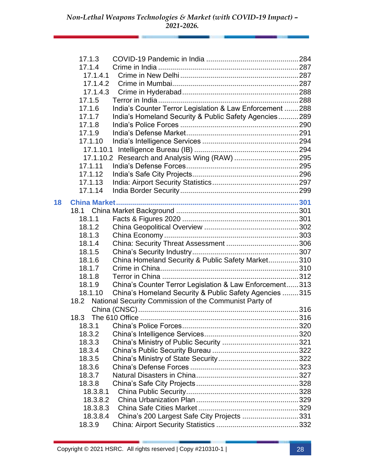|    | 17.1.3   |                                                           |  |
|----|----------|-----------------------------------------------------------|--|
|    | 17.1.4   |                                                           |  |
|    | 17.1.4.1 |                                                           |  |
|    | 17.1.4.2 |                                                           |  |
|    | 17.1.4.3 |                                                           |  |
|    | 17.1.5   |                                                           |  |
|    | 17.1.6   | India's Counter Terror Legislation & Law Enforcement  288 |  |
|    | 17.1.7   | India's Homeland Security & Public Safety Agencies289     |  |
|    | 17.1.8   |                                                           |  |
|    | 17.1.9   |                                                           |  |
|    | 17.1.10  |                                                           |  |
|    |          |                                                           |  |
|    |          |                                                           |  |
|    | 17.1.11  |                                                           |  |
|    | 17.1.12  |                                                           |  |
|    | 17.1.13  |                                                           |  |
|    | 17.1.14  |                                                           |  |
| 18 |          |                                                           |  |
|    | 18.1     |                                                           |  |
|    | 18.1.1   |                                                           |  |
|    | 18.1.2   |                                                           |  |
|    | 18.1.3   |                                                           |  |
|    | 18.1.4   |                                                           |  |
|    | 18.1.5   |                                                           |  |
|    | 18.1.6   | China Homeland Security & Public Safety Market310         |  |
|    | 18.1.7   |                                                           |  |
|    | 18.1.8   |                                                           |  |
|    | 18.1.9   | China's Counter Terror Legislation & Law Enforcement 313  |  |
|    | 18.1.10  | China's Homeland Security & Public Safety Agencies  315   |  |
|    | 18.2     | National Security Commission of the Communist Party of    |  |
|    |          |                                                           |  |
|    | 18.3     |                                                           |  |
|    | 18.3.1   |                                                           |  |
|    | 18.3.2   |                                                           |  |
|    | 18.3.3   |                                                           |  |
|    | 18.3.4   |                                                           |  |
|    | 18.3.5   |                                                           |  |
|    | 18.3.6   |                                                           |  |
|    | 18.3.7   |                                                           |  |
|    | 18.3.8   |                                                           |  |
|    | 18.3.8.1 |                                                           |  |
|    | 18.3.8.2 |                                                           |  |
|    | 18.3.8.3 |                                                           |  |
|    | 18.3.8.4 | China's 200 Largest Safe City Projects 331                |  |
|    | 18.3.9   |                                                           |  |
|    |          |                                                           |  |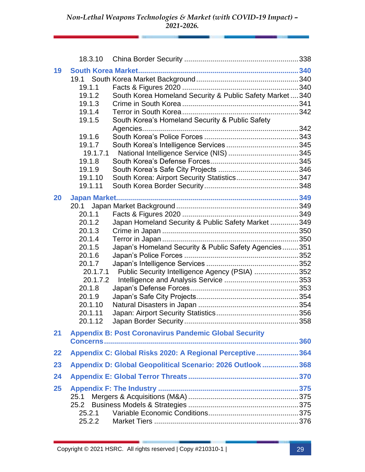|          | 18.3.10                                                                                                                                                 |                                                                                                                                                                |  |
|----------|---------------------------------------------------------------------------------------------------------------------------------------------------------|----------------------------------------------------------------------------------------------------------------------------------------------------------------|--|
| 19<br>20 | 19.1<br>19.1.1<br>19.1.2<br>19.1.3<br>19.1.4<br>19.1.5<br>19.1.6<br>19.1.7<br>19.1.7.1<br>19.1.8<br>19.1.9<br>19.1.10<br>19.1.11                        | South Korea Homeland Security & Public Safety Market340<br>South Korea's Homeland Security & Public Safety                                                     |  |
|          | 20.1<br>20.1.1<br>20.1.2<br>20.1.3<br>20.1.4<br>20.1.5<br>20.1.6<br>20.1.7<br>20.1.7.1<br>20.1.7.2<br>20.1.8<br>20.1.9<br>20.1.10<br>20.1.11<br>20.1.12 | Japan Homeland Security & Public Safety Market  349<br>Japan's Homeland Security & Public Safety Agencies351<br>Public Security Intelligence Agency (PSIA) 352 |  |
| 21       |                                                                                                                                                         | <b>Appendix B: Post Coronavirus Pandemic Global Security</b>                                                                                                   |  |
| 22       |                                                                                                                                                         | Appendix C: Global Risks 2020: A Regional Perceptive 364                                                                                                       |  |
| 23       |                                                                                                                                                         | Appendix D: Global Geopolitical Scenario: 2026 Outlook  368                                                                                                    |  |
| 24       |                                                                                                                                                         |                                                                                                                                                                |  |
| 25       | 25.1<br>25.2<br>25.2.1<br>25.2.2                                                                                                                        |                                                                                                                                                                |  |